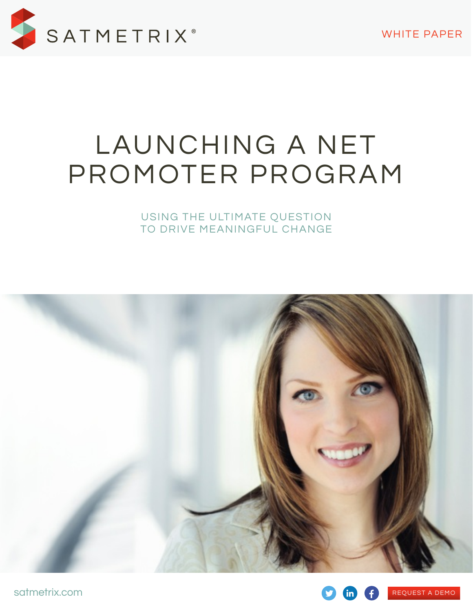

# LAUNCHING A NET PROMOTER PROGRAM

USING THE ULTIMATE QUESTION TO DRIVE MEANINGFUL CHANGE



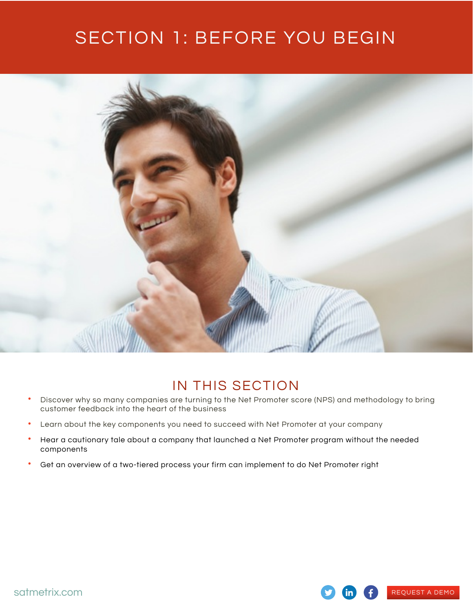## SECTION 1: BEFORE YOU BEGIN



### IN THIS SECTION

- Discover why so many companies are turning to the Net Promoter score (NPS) and methodology to bring customer feedback into the heart of the business
- Learn about the key components you need to succeed with Net Promoter at your company
- Hear a cautionary tale about a company that launched a Net Promoter program without the needed components
- Get an overview of a two-tiered process your firm can implement to do Net Promoter right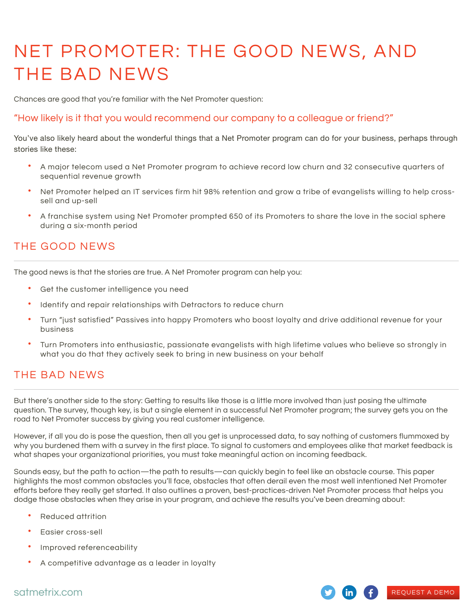# NET PROMOTER: THE GOOD NEWS, AND THE BAD NEWS

Chances are good that you're familiar with the Net Promoter question:

#### "How likely is it that you would recommend our company to a colleague or friend?"

You've also likely heard about the wonderful things that a Net Promoter program can do for your business, perhaps through stories like these:

- A major telecom used a Net Promoter program to achieve record low churn and 32 consecutive quarters of sequential revenue growth
- Net Promoter helped an IT services firm hit 98% retention and grow a tribe of evangelists willing to help crosssell and up-sell
- A franchise system using Net Promoter prompted 650 of its Promoters to share the love in the social sphere during a six-month period

#### THE GOOD NEWS

The good news is that the stories are true. A Net Promoter program can help you:

- Get the customer intelligence you need
- Identify and repair relationships with Detractors to reduce churn
- Turn "just satisfied" Passives into happy Promoters who boost loyalty and drive additional revenue for your business
- Turn Promoters into enthusiastic, passionate evangelists with high lifetime values who believe so strongly in what you do that they actively seek to bring in new business on your behalf

### THE BAD NEWS

But there's another side to the story: Getting to results like those is a little more involved than just posing the ultimate question. The survey, though key, is but a single element in a successful Net Promoter program; the survey gets you on the road to Net Promoter success by giving you real customer intelligence.

However, if all you do is pose the question, then all you get is unprocessed data, to say nothing of customers flummoxed by why you burdened them with a survey in the first place. To signal to customers and employees alike that market feedback is what shapes your organizational priorities, you must take meaningful action on incoming feedback.

Sounds easy, but the path to action—the path to results—can quickly begin to feel like an obstacle course. This paper highlights the most common obstacles you'll face, obstacles that often derail even the most well intentioned Net Promoter efforts before they really get started. It also outlines a proven, best-practices-driven Net Promoter process that helps you dodge those obstacles when they arise in your program, and achieve the results you've been dreaming about:

- Reduced attrition
- Easier cross-sell
- Improved referenceability
- A competitive advantage as a leader in loyalty

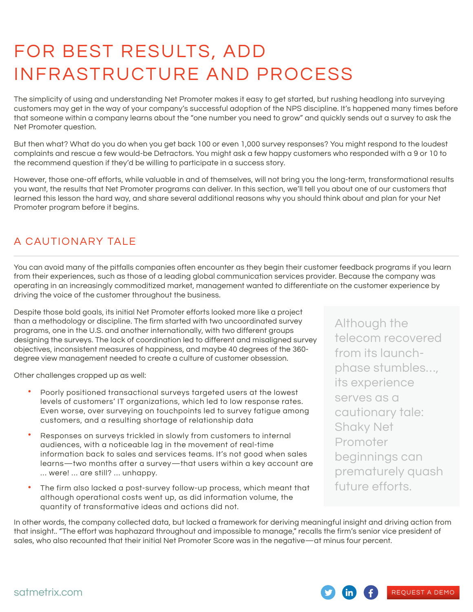# FOR BEST RESULTS, ADD INFRASTRUCTURE AND PROCESS

The simplicity of using and understanding Net Promoter makes it easy to get started, but rushing headlong into surveying customers may get in the way of your company's successful adoption of the NPS discipline. It's happened many times before that someone within a company learns about the "one number you need to grow" and quickly sends out a survey to ask the Net Promoter question.

But then what? What do you do when you get back 100 or even 1,000 survey responses? You might respond to the loudest complaints and rescue a few would-be Detractors. You might ask a few happy customers who responded with a 9 or 10 to the recommend question if they'd be willing to participate in a success story.

However, those one-off efforts, while valuable in and of themselves, will not bring you the long-term, transformational results you want, the results that Net Promoter programs can deliver. In this section, we'll tell you about one of our customers that learned this lesson the hard way, and share several additional reasons why you should think about and plan for your Net Promoter program before it begins.

### A CAUTIONARY TALE

You can avoid many of the pitfalls companies often encounter as they begin their customer feedback programs if you learn from their experiences, such as those of a leading global communication services provider. Because the company was operating in an increasingly commoditized market, management wanted to differentiate on the customer experience by driving the voice of the customer throughout the business.

Despite those bold goals, its initial Net Promoter efforts looked more like a project than a methodology or discipline. The firm started with two uncoordinated survey programs, one in the U.S. and another internationally, with two different groups designing the surveys. The lack of coordination led to different and misaligned survey objectives, inconsistent measures of happiness, and maybe 40 degrees of the 360 degree view management needed to create a culture of customer obsession.

Other challenges cropped up as well:

- Poorly positioned transactional surveys targeted users at the lowest levels of customers' IT organizations, which led to low response rates. Even worse, over surveying on touchpoints led to survey fatigue among customers, and a resulting shortage of relationship data
- Responses on surveys trickled in slowly from customers to internal audiences, with a noticeable lag in the movement of real-time information back to sales and services teams. It's not good when sales learns—two months after a survey—that users within a key account are … were! … are still? … unhappy.
- The firm also lacked a post-survey follow-up process, which meant that although operational costs went up, as did information volume, the quantity of transformative ideas and actions did not.

Although the telecom recovered from its launchphase stumbles…, its experience serves as a cautionary tale: Shaky Net Promoter beginnings can prematurely quash future efforts.

In other words, the company collected data, but lacked a framework for deriving meaningful insight and driving action from that insight.. "The effort was haphazard throughout and impossible to manage," recalls the firm's senior vice president of sales, who also recounted that their initial Net Promoter Score was in the negative—at minus four percent.

REQUEST A DEMO

 $\mathop{\text{in}}$  )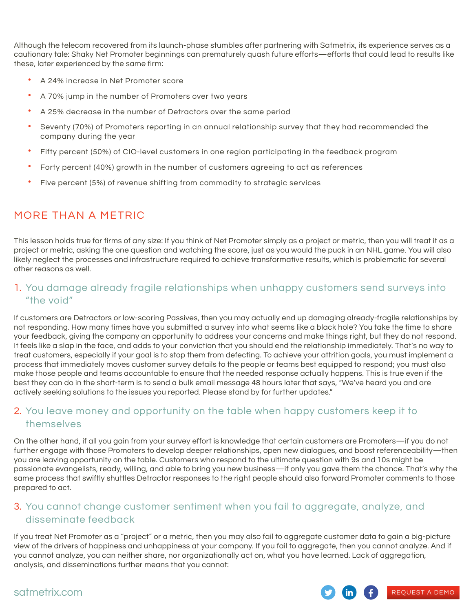Although the telecom recovered from its launch-phase stumbles after partnering with Satmetrix, its experience serves as a cautionary tale: Shaky Net Promoter beginnings can prematurely quash future efforts—efforts that could lead to results like these, later experienced by the same firm:

- A 24% increase in Net Promoter score
- A 70% jump in the number of Promoters over two years
- A 25% decrease in the number of Detractors over the same period
- Seventy (70%) of Promoters reporting in an annual relationship survey that they had recommended the company during the year
- Fifty percent (50%) of CIO-level customers in one region participating in the feedback program
- Forty percent (40%) growth in the number of customers agreeing to act as references
- Five percent (5%) of revenue shifting from commodity to strategic services

### MORE THAN A METRIC

This lesson holds true for firms of any size: If you think of Net Promoter simply as a project or metric, then you will treat it as a project or metric, asking the one question and watching the score, just as you would the puck in an NHL game. You will also likely neglect the processes and infrastructure required to achieve transformative results, which is problematic for several other reasons as well.

#### 1. You damage already fragile relationships when unhappy customers send surveys into "the void"

If customers are Detractors or low-scoring Passives, then you may actually end up damaging already-fragile relationships by not responding. How many times have you submitted a survey into what seems like a black hole? You take the time to share your feedback, giving the company an opportunity to address your concerns and make things right, but they do not respond. It feels like a slap in the face, and adds to your conviction that you should end the relationship immediately. That's no way to treat customers, especially if your goal is to stop them from defecting. To achieve your attrition goals, you must implement a process that immediately moves customer survey details to the people or teams best equipped to respond; you must also make those people and teams accountable to ensure that the needed response actually happens. This is true even if the best they can do in the short-term is to send a bulk email message 48 hours later that says, "We've heard you and are actively seeking solutions to the issues you reported. Please stand by for further updates."

### 2. You leave money and opportunity on the table when happy customers keep it to themselves

On the other hand, if all you gain from your survey effort is knowledge that certain customers are Promoters—if you do not further engage with those Promoters to develop deeper relationships, open new dialogues, and boost referenceability—then you are leaving opportunity on the table. Customers who respond to the ultimate question with 9s and 10s might be passionate evangelists, ready, willing, and able to bring you new business—if only you gave them the chance. That's why the same process that swiftly shuttles Detractor responses to the right people should also forward Promoter comments to those prepared to act.

#### 3. You cannot change customer sentiment when you fail to aggregate, analyze, and disseminate feedback

If you treat Net Promoter as a "project" or a metric, then you may also fail to aggregate customer data to gain a big-picture view of the drivers of happiness and unhappiness at your company. If you fail to aggregate, then you cannot analyze. And if you cannot analyze, you can neither share, nor organizationally act on, what you have learned. Lack of aggregation, analysis, and disseminations further means that you cannot:

#### satmetrix.com

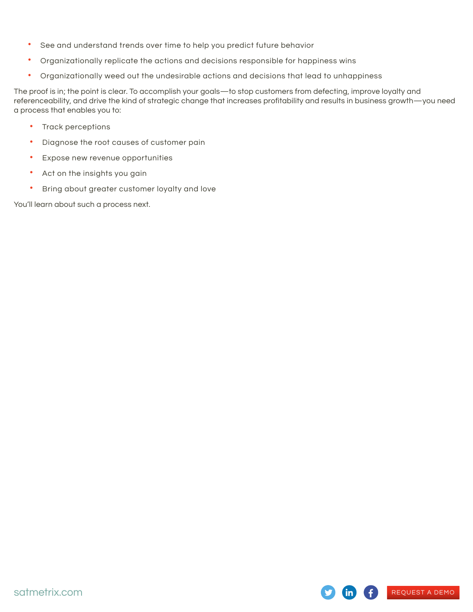- See and understand trends over time to help you predict future behavior
- Organizationally replicate the actions and decisions responsible for happiness wins
- Organizationally weed out the undesirable actions and decisions that lead to unhappiness

The proof is in; the point is clear. To accomplish your goals—to stop customers from defecting, improve loyalty and referenceability, and drive the kind of strategic change that increases profitability and results in business growth—you need a process that enables you to:

REQUEST A DEMO

in I

- Track perceptions
- Diagnose the root causes of customer pain
- Expose new revenue opportunities
- Act on the insights you gain
- Bring about greater customer loyalty and love

You'll learn about such a process next.

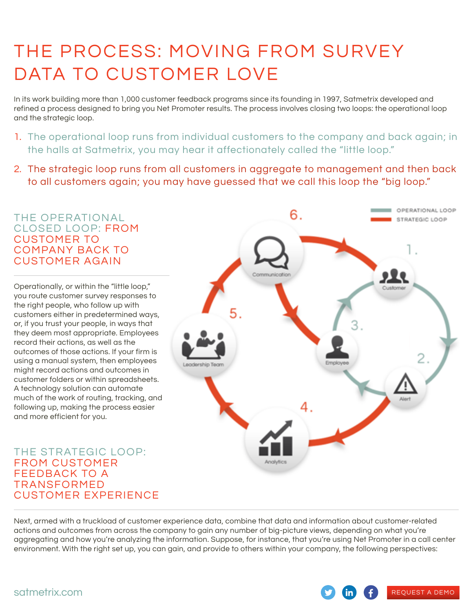# THE PROCESS: MOVING FROM SURVEY DATA TO CUSTOMER LOVE

In its work building more than 1,000 customer feedback programs since its founding in 1997, Satmetrix developed and refined a process designed to bring you Net Promoter results. The process involves closing two loops: the operational loop and the strategic loop.

- 1. The operational loop runs from individual customers to the company and back again; in the halls at Satmetrix, you may hear it affectionately called the "little loop."
- 2. The strategic loop runs from all customers in aggregate to management and then back to all customers again; you may have guessed that we call this loop the "big loop."

#### OPERATIONAL LOOP 6. THE OPERATIONAL STRATEGIC LOOP CLOSED LOOP: FROM CUSTOMER TO COMPANY BACK TO CUSTOMER AGAIN Operationally, or within the "little loop," you route customer survey responses to the right people, who follow up with customers either in predetermined ways, or, if you trust your people, in ways that they deem most appropriate. Employees record their actions, as well as the outcomes of those actions. If your firm is using a manual system, then employees might record actions and outcomes in customer folders or within spreadsheets. A technology solution can automate much of the work of routing, tracking, and following up, making the process easier and more efficient for you. THE STRATEGIC LOOP: FROM CUSTOMER FEEDBACK TO A TRANSFORMED CUSTOMER EXPERIENCE

Next, armed with a truckload of customer experience data, combine that data and information about customer-related actions and outcomes from across the company to gain any number of big-picture views, depending on what you're aggregating and how you're analyzing the information. Suppose, for instance, that you're using Net Promoter in a call center environment. With the right set up, you can gain, and provide to others within your company, the following perspectives:

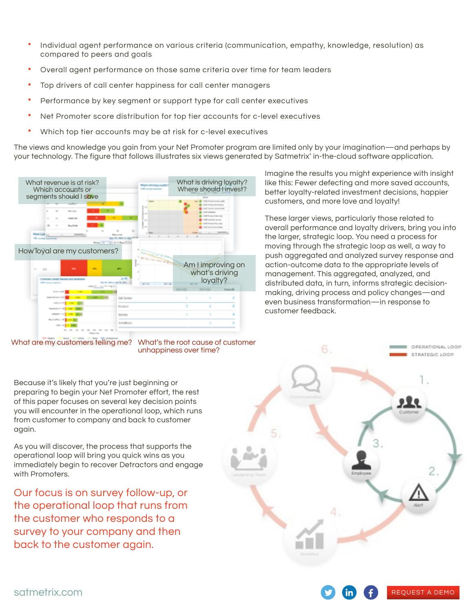- Individual agent performance on various criteria (communication, empathy, knowledge, resolution) as compared to peers and goals
- Overall agent performance on those same criteria over time for team leaders
- Top drivers of call center happiness for call center managers
- Performance by key segment or support type for call center executives
- Net Promoter score distribution for top tier accounts for c-level executives
- Which top tier accounts may be at risk for c-level executives

The views and knowledge you gain from your Net Promoter program are limited only by your imagination—and perhaps by your technology. The figure that follows illustrates six views generated by Satmetrix' in-the-cloud software application.



What are my customers telling me?



Because it's likely that you're just beginning or preparing to begin your Net Promoter effort, the rest of this paper focuses on several key decision points you will encounter in the operational loop, which runs from customer to company and back to customer again.

As you will discover, the process that supports the operational loop will bring you quick wins as you immediately begin to recover Detractors and engage with Promoters.

Our focus is on survey follow-up, or the operational loop that runs from the customer who responds to a survey to your company and then back to the customer again.



REQUEST A DEMO

Imagine the results you might experience with insight like this: Fewer defecting and more saved accounts, better loyalty-related investment decisions, happier customers, and more love and loyalty!

These larger views, particularly those related to overall performance and loyalty drivers, bring you into the larger, strategic loop. You need a process for moving through the strategic loop as well, a way to push aggregated and analyzed survey response and action-outcome data to the appropriate levels of management. This aggregated, analyzed, and distributed data, in turn, informs strategic decisionmaking, driving process and policy changes—and even business transformation—in response to customer feedback.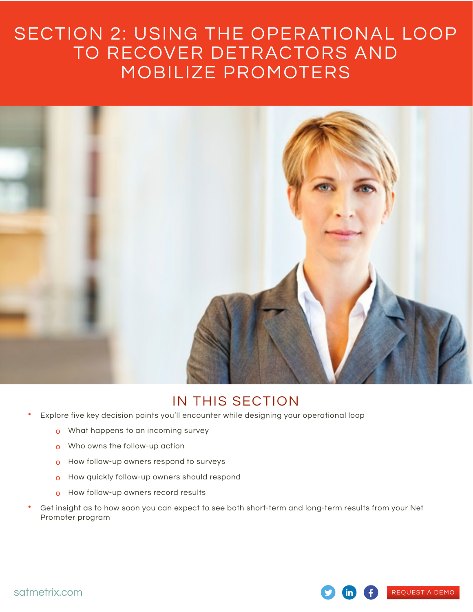### SECTION 2: USING THE OPERATIONAL LOOP TO RECOVER DETRACTORS AND MOBILIZE PROMOTERS



### IN THIS SECTION

- Explore five key decision points you'll encounter while designing your operational loop
	- o What happens to an incoming survey
	- o Who owns the follow-up action
	- o How follow-up owners respond to surveys
	- o How quickly follow-up owners should respond
	- o How follow-up owners record results
- Get insight as to how soon you can expect to see both short-term and long-term results from your Net Promoter program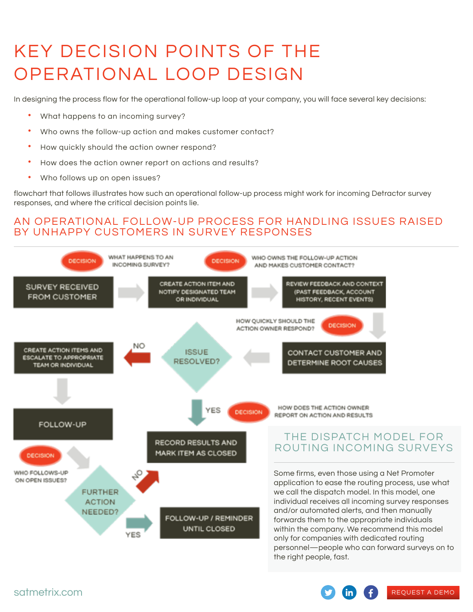# KEY DECISION POINTS OF THE OPERATIONAL LOOP DESIGN

In designing the process flow for the operational follow-up loop at your company, you will face several key decisions:

- What happens to an incoming survey?
- Who owns the follow-up action and makes customer contact?
- How quickly should the action owner respond?
- How does the action owner report on actions and results?
- Who follows up on open issues?

flowchart that follows illustrates how such an operational follow-up process might work for incoming Detractor survey responses, and where the critical decision points lie.

### AN OPERATIONAL FOLLOW-UP PROCESS FOR HANDLING ISSUES RAISED BY UNHAPPY CUSTOMERS IN SURVEY RESPONSES

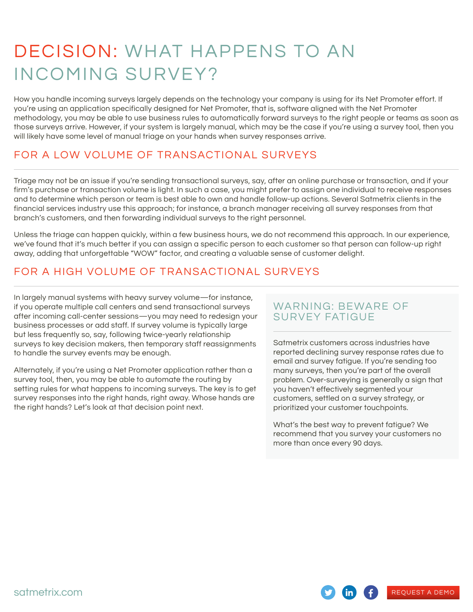# DECISION: WHAT HAPPENS TO AN INCOMING SURVEY?

How you handle incoming surveys largely depends on the technology your company is using for its Net Promoter effort. If you're using an application specifically designed for Net Promoter, that is, software aligned with the Net Promoter methodology, you may be able to use business rules to automatically forward surveys to the right people or teams as soon as those surveys arrive. However, if your system is largely manual, which may be the case if you're using a survey tool, then you will likely have some level of manual triage on your hands when survey responses arrive.

### FOR A LOW VOLUME OF TRANSACTIONAL SURVEYS

Triage may not be an issue if you're sending transactional surveys, say, after an online purchase or transaction, and if your firm's purchase or transaction volume is light. In such a case, you might prefer to assign one individual to receive responses and to determine which person or team is best able to own and handle follow-up actions. Several Satmetrix clients in the financial services industry use this approach; for instance, a branch manager receiving all survey responses from that branch's customers, and then forwarding individual surveys to the right personnel.

Unless the triage can happen quickly, within a few business hours, we do not recommend this approach. In our experience, we've found that it's much better if you can assign a specific person to each customer so that person can follow-up right away, adding that unforgettable "WOW" factor, and creating a valuable sense of customer delight.

### FOR A HIGH VOLUME OF TRANSACTIONAL SURVEYS

In largely manual systems with heavy survey volume—for instance, if you operate multiple call centers and send transactional surveys after incoming call-center sessions—you may need to redesign your business processes or add staff. If survey volume is typically large but less frequently so, say, following twice-yearly relationship surveys to key decision makers, then temporary staff reassignments to handle the survey events may be enough.

Alternately, if you're using a Net Promoter application rather than a survey tool, then, you may be able to automate the routing by setting rules for what happens to incoming surveys. The key is to get survey responses into the right hands, right away. Whose hands are the right hands? Let's look at that decision point next.

### WARNING: BEWARE OF SURVEY FATIGUE

Satmetrix customers across industries have reported declining survey response rates due to email and survey fatigue. If you're sending too many surveys, then you're part of the overall problem. Over-surveying is generally a sign that you haven't effectively segmented your customers, settled on a survey strategy, or prioritized your customer touchpoints.

What's the best way to prevent fatigue? We recommend that you survey your customers no more than once every 90 days.

 $\mathsf{in}$ )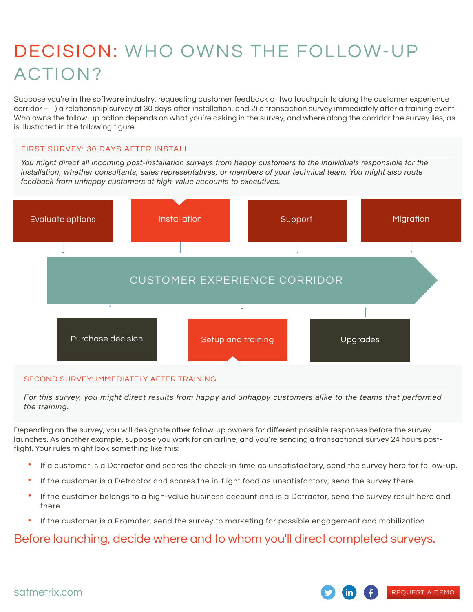# DECISION: WHO OWNS THE FOLLOW-UP ACTION?

Suppose you're in the software industry, requesting customer feedback at two touchpoints along the customer experience corridor – 1) a relationship survey at 30 days after installation, and 2) a transaction survey immediately after a training event. Who owns the follow-up action depends on what you're asking in the survey, and where along the corridor the survey lies, as is illustrated in the following figure.

#### FIRST SURVEY: 30 DAYS AFTER INSTALL

*You might direct all incoming post-installation surveys from happy customers to the individuals responsible for the installation, whether consultants, sales representatives, or members of your technical team. You might also route feedback from unhappy customers at high-value accounts to executives.*



#### SECOND SURVEY: IMMEDIATELY AFTER TRAINING

*For this survey, you might direct results from happy and unhappy customers alike to the teams that performed the training.*

Depending on the survey, you will designate other follow-up owners for different possible responses before the survey launches. As another example, suppose you work for an airline, and you're sending a transactional survey 24 hours postflight. Your rules might look something like this:

- If a customer is a Detractor and scores the check-in time as unsatisfactory, send the survey here for follow-up.
- If the customer is a Detractor and scores the in-flight food as unsatisfactory, send the survey there.
- If the customer belongs to a high-value business account and is a Detractor, send the survey result here and there.
- If the customer is a Promoter, send the survey to marketing for possible engagement and mobilization.

### Before launching, decide where and to whom you'll direct completed surveys.



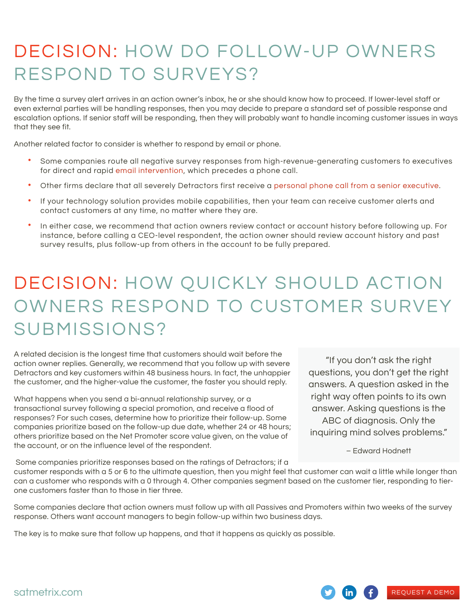# DECISION: HOW DO FOLLOW-UP OWNERS RESPOND TO SURVEYS?

By the time a survey alert arrives in an action owner's inbox, he or she should know how to proceed. If lower-level staff or even external parties will be handling responses, then you may decide to prepare a standard set of possible response and escalation options. If senior staff will be responding, then they will probably want to handle incoming customer issues in ways that they see fit.

Another related factor to consider is whether to respond by email or phone.

- Some companies route all negative survey responses from high-revenue-generating customers to executives for direct and rapid email intervention, which precedes a phone call.
- Other firms declare that all severely Detractors first receive a personal phone call from a senior executive.
- If your technology solution provides mobile capabilities, then your team can receive customer alerts and contact customers at any time, no matter where they are.
- In either case, we recommend that action owners review contact or account history before following up. For instance, before calling a CEO-level respondent, the action owner should review account history and past survey results, plus follow-up from others in the account to be fully prepared.

# DECISION: HOW QUICKLY SHOULD ACTION OWNERS RESPOND TO CUSTOMER SURVEY SUBMISSIONS?

A related decision is the longest time that customers should wait before the action owner replies. Generally, we recommend that you follow up with severe Detractors and key customers within 48 business hours. In fact, the unhappier the customer, and the higher-value the customer, the faster you should reply.

What happens when you send a bi-annual relationship survey, or a transactional survey following a special promotion, and receive a flood of responses? For such cases, determine how to prioritize their follow-up. Some companies prioritize based on the follow-up due date, whether 24 or 48 hours; others prioritize based on the Net Promoter score value given, on the value of the account, or on the influence level of the respondent.

"If you don't ask the right questions, you don't get the right answers. A question asked in the right way often points to its own answer. Asking questions is the ABC of diagnosis. Only the inquiring mind solves problems."

– Edward Hodnett

REQUEST A DEMO

Some companies prioritize responses based on the ratings of Detractors; if a

customer responds with a 5 or 6 to the ultimate question, then you might feel that customer can wait a little while longer than can a customer who responds with a 0 through 4. Other companies segment based on the customer tier, responding to tierone customers faster than to those in tier three.

Some companies declare that action owners must follow up with all Passives and Promoters within two weeks of the survey response. Others want account managers to begin follow-up within two business days.

The key is to make sure that follow up happens, and that it happens as quickly as possible.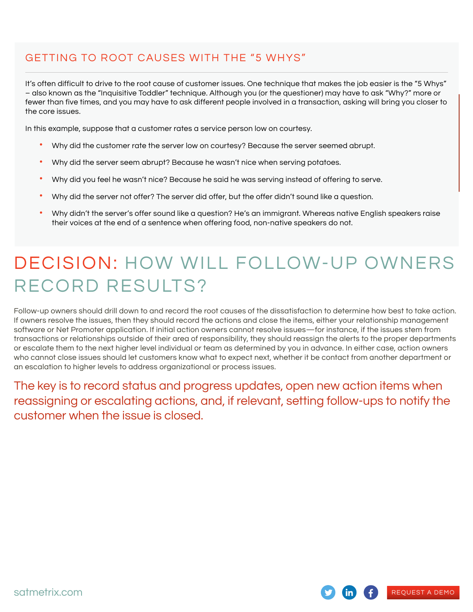### GETTING TO ROOT CAUSES WITH THE "5 WHYS"

It's often difficult to drive to the root cause of customer issues. One technique that makes the job easier is the "5 Whys" – also known as the "Inquisitive Toddler" technique. Although you (or the questioner) may have to ask "Why?" more or fewer than five times, and you may have to ask different people involved in a transaction, asking will bring you closer to the core issues.

In this example, suppose that a customer rates a service person low on courtesy.

- Why did the customer rate the server low on courtesy? Because the server seemed abrupt.
- Why did the server seem abrupt? Because he wasn't nice when serving potatoes.
- Why did you feel he wasn't nice? Because he said he was serving instead of offering to serve.
- Why did the server not offer? The server did offer, but the offer didn't sound like a question.
- Why didn't the server's offer sound like a question? He's an immigrant. Whereas native English speakers raise their voices at the end of a sentence when offering food, non-native speakers do not.

# DECISION: HOW WILL FOLLOW-UP OWNERS RECORD RESULTS?

Follow-up owners should drill down to and record the root causes of the dissatisfaction to determine how best to take action. If owners resolve the issues, then they should record the actions and close the items, either your relationship management software or Net Promoter application. If initial action owners cannot resolve issues—for instance, if the issues stem from transactions or relationships outside of their area of responsibility, they should reassign the alerts to the proper departments or escalate them to the next higher level individual or team as determined by you in advance. In either case, action owners who cannot close issues should let customers know what to expect next, whether it be contact from another department or an escalation to higher levels to address organizational or process issues.

The key is to record status and progress updates, open new action items when reassigning or escalating actions, and, if relevant, setting follow-ups to notify the customer when the issue is closed.

REQUEST A DEMO

satmetrix.com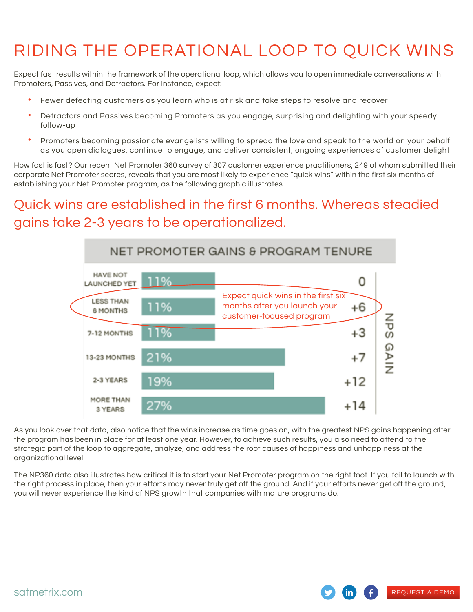## RIDING THE OPERATIONAL LOOP TO QUICK WINS

Expect fast results within the framework of the operational loop, which allows you to open immediate conversations with Promoters, Passives, and Detractors. For instance, expect:

- Fewer defecting customers as you learn who is at risk and take steps to resolve and recover
- Detractors and Passives becoming Promoters as you engage, surprising and delighting with your speedy follow-up
- Promoters becoming passionate evangelists willing to spread the love and speak to the world on your behalf as you open dialogues, continue to engage, and deliver consistent, ongoing experiences of customer delight

How fast is fast? Our recent Net Promoter 360 survey of 307 customer experience practitioners, 249 of whom submitted their corporate Net Promoter scores, reveals that you are most likely to experience "quick wins" within the first six months of establishing your Net Promoter program, as the following graphic illustrates.

### Quick wins are established in the first 6 months. Whereas steadied gains take 2-3 years to be operationalized.



As you look over that data, also notice that the wins increase as time goes on, with the greatest NPS gains happening after the program has been in place for at least one year. However, to achieve such results, you also need to attend to the strategic part of the loop to aggregate, analyze, and address the root causes of happiness and unhappiness at the organizational level.

The NP360 data also illustrates how critical it is to start your Net Promoter program on the right foot. If you fail to launch with the right process in place, then your efforts may never truly get off the ground. And if your efforts never get off the ground, you will never experience the kind of NPS growth that companies with mature programs do.